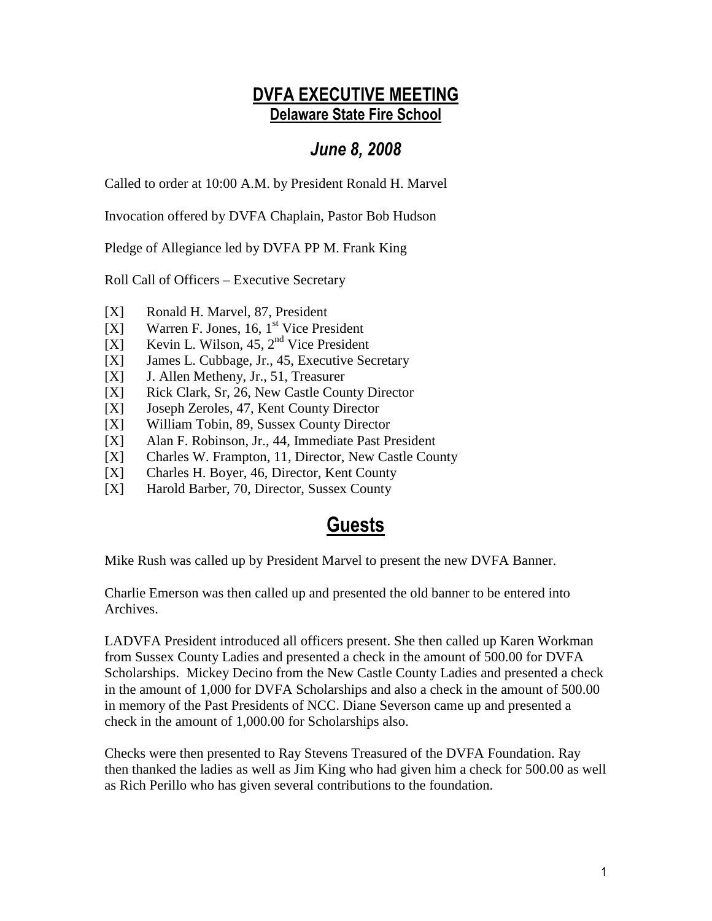## DVFA EXECUTIVE MEETING Delaware State Fire School

## June 8, 2008

Called to order at 10:00 A.M. by President Ronald H. Marvel

Invocation offered by DVFA Chaplain, Pastor Bob Hudson

Pledge of Allegiance led by DVFA PP M. Frank King

Roll Call of Officers – Executive Secretary

- [X] Ronald H. Marvel, 87, President
- $[X]$  Warren F. Jones, 16, 1<sup>st</sup> Vice President
- [X] Kevin L. Wilson,  $45$ ,  $2<sup>nd</sup>$  Vice President
- [X] James L. Cubbage, Jr., 45, Executive Secretary
- [X] J. Allen Metheny, Jr., 51, Treasurer
- [X] Rick Clark, Sr, 26, New Castle County Director
- [X] Joseph Zeroles, 47, Kent County Director
- [X] William Tobin, 89, Sussex County Director
- [X] Alan F. Robinson, Jr., 44, Immediate Past President
- [X] Charles W. Frampton, 11, Director, New Castle County
- [X] Charles H. Boyer, 46, Director, Kent County
- [X] Harold Barber, 70, Director, Sussex County

# **Guests**

Mike Rush was called up by President Marvel to present the new DVFA Banner.

Charlie Emerson was then called up and presented the old banner to be entered into Archives.

LADVFA President introduced all officers present. She then called up Karen Workman from Sussex County Ladies and presented a check in the amount of 500.00 for DVFA Scholarships. Mickey Decino from the New Castle County Ladies and presented a check in the amount of 1,000 for DVFA Scholarships and also a check in the amount of 500.00 in memory of the Past Presidents of NCC. Diane Severson came up and presented a check in the amount of 1,000.00 for Scholarships also.

Checks were then presented to Ray Stevens Treasured of the DVFA Foundation. Ray then thanked the ladies as well as Jim King who had given him a check for 500.00 as well as Rich Perillo who has given several contributions to the foundation.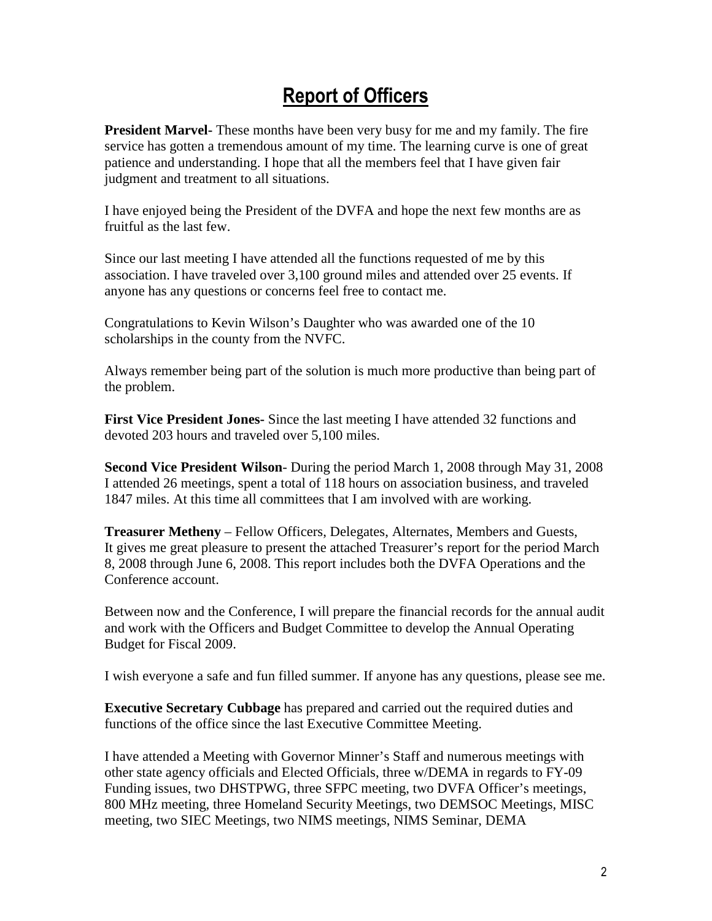# Report of Officers

**President Marvel-** These months have been very busy for me and my family. The fire service has gotten a tremendous amount of my time. The learning curve is one of great patience and understanding. I hope that all the members feel that I have given fair judgment and treatment to all situations.

I have enjoyed being the President of the DVFA and hope the next few months are as fruitful as the last few.

Since our last meeting I have attended all the functions requested of me by this association. I have traveled over 3,100 ground miles and attended over 25 events. If anyone has any questions or concerns feel free to contact me.

Congratulations to Kevin Wilson's Daughter who was awarded one of the 10 scholarships in the county from the NVFC.

Always remember being part of the solution is much more productive than being part of the problem.

**First Vice President Jones-** Since the last meeting I have attended 32 functions and devoted 203 hours and traveled over 5,100 miles.

**Second Vice President Wilson**- During the period March 1, 2008 through May 31, 2008 I attended 26 meetings, spent a total of 118 hours on association business, and traveled 1847 miles. At this time all committees that I am involved with are working.

**Treasurer Metheny** – Fellow Officers, Delegates, Alternates, Members and Guests, It gives me great pleasure to present the attached Treasurer's report for the period March 8, 2008 through June 6, 2008. This report includes both the DVFA Operations and the Conference account.

Between now and the Conference, I will prepare the financial records for the annual audit and work with the Officers and Budget Committee to develop the Annual Operating Budget for Fiscal 2009.

I wish everyone a safe and fun filled summer. If anyone has any questions, please see me.

**Executive Secretary Cubbage** has prepared and carried out the required duties and functions of the office since the last Executive Committee Meeting.

I have attended a Meeting with Governor Minner's Staff and numerous meetings with other state agency officials and Elected Officials, three w/DEMA in regards to FY-09 Funding issues, two DHSTPWG, three SFPC meeting, two DVFA Officer's meetings, 800 MHz meeting, three Homeland Security Meetings, two DEMSOC Meetings, MISC meeting, two SIEC Meetings, two NIMS meetings, NIMS Seminar, DEMA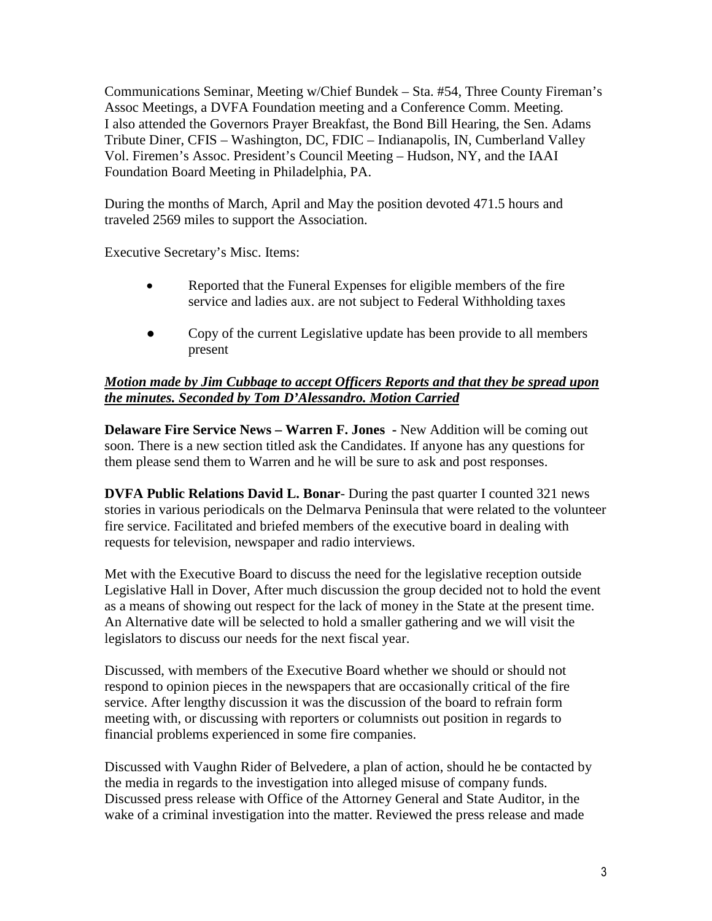Communications Seminar, Meeting w/Chief Bundek – Sta. #54, Three County Fireman's Assoc Meetings, a DVFA Foundation meeting and a Conference Comm. Meeting. I also attended the Governors Prayer Breakfast, the Bond Bill Hearing, the Sen. Adams Tribute Diner, CFIS – Washington, DC, FDIC – Indianapolis, IN, Cumberland Valley Vol. Firemen's Assoc. President's Council Meeting – Hudson, NY, and the IAAI Foundation Board Meeting in Philadelphia, PA.

During the months of March, April and May the position devoted 471.5 hours and traveled 2569 miles to support the Association.

Executive Secretary's Misc. Items:

- Reported that the Funeral Expenses for eligible members of the fire service and ladies aux. are not subject to Federal Withholding taxes
- Copy of the current Legislative update has been provide to all members present

### *Motion made by Jim Cubbage to accept Officers Reports and that they be spread upon the minutes. Seconded by Tom D'Alessandro. Motion Carried*

**Delaware Fire Service News – Warren F. Jones -** New Addition will be coming out soon. There is a new section titled ask the Candidates. If anyone has any questions for them please send them to Warren and he will be sure to ask and post responses.

**DVFA Public Relations David L. Bonar**- During the past quarter I counted 321 news stories in various periodicals on the Delmarva Peninsula that were related to the volunteer fire service. Facilitated and briefed members of the executive board in dealing with requests for television, newspaper and radio interviews.

Met with the Executive Board to discuss the need for the legislative reception outside Legislative Hall in Dover, After much discussion the group decided not to hold the event as a means of showing out respect for the lack of money in the State at the present time. An Alternative date will be selected to hold a smaller gathering and we will visit the legislators to discuss our needs for the next fiscal year.

Discussed, with members of the Executive Board whether we should or should not respond to opinion pieces in the newspapers that are occasionally critical of the fire service. After lengthy discussion it was the discussion of the board to refrain form meeting with, or discussing with reporters or columnists out position in regards to financial problems experienced in some fire companies.

Discussed with Vaughn Rider of Belvedere, a plan of action, should he be contacted by the media in regards to the investigation into alleged misuse of company funds. Discussed press release with Office of the Attorney General and State Auditor, in the wake of a criminal investigation into the matter. Reviewed the press release and made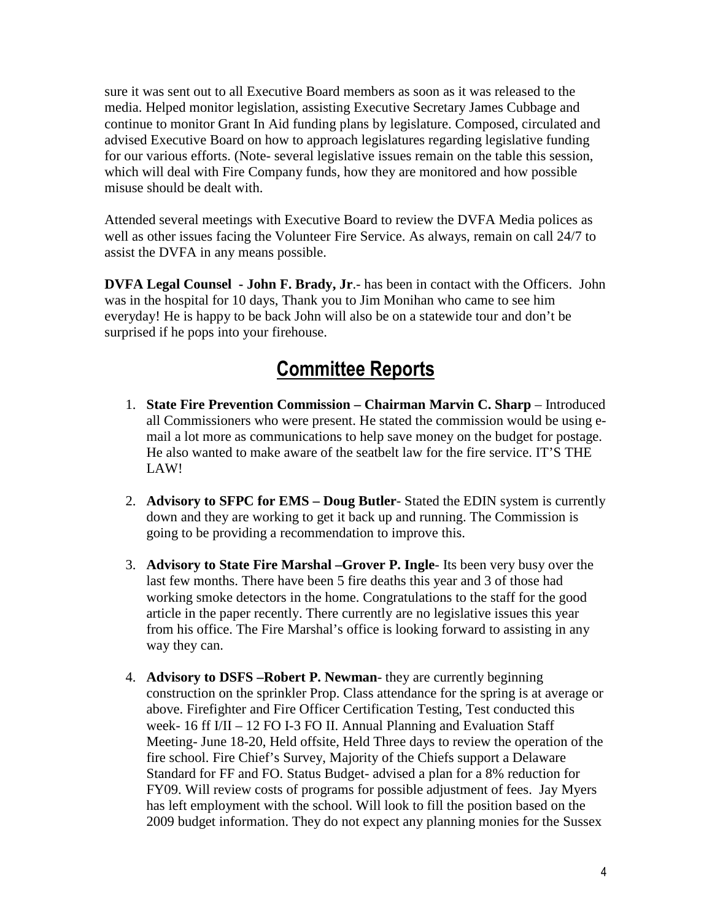sure it was sent out to all Executive Board members as soon as it was released to the media. Helped monitor legislation, assisting Executive Secretary James Cubbage and continue to monitor Grant In Aid funding plans by legislature. Composed, circulated and advised Executive Board on how to approach legislatures regarding legislative funding for our various efforts. (Note- several legislative issues remain on the table this session, which will deal with Fire Company funds, how they are monitored and how possible misuse should be dealt with.

Attended several meetings with Executive Board to review the DVFA Media polices as well as other issues facing the Volunteer Fire Service. As always, remain on call 24/7 to assist the DVFA in any means possible.

**DVFA Legal Counsel - John F. Brady, Jr**.- has been in contact with the Officers. John was in the hospital for 10 days, Thank you to Jim Monihan who came to see him everyday! He is happy to be back John will also be on a statewide tour and don't be surprised if he pops into your firehouse.

# Committee Reports

- 1. **State Fire Prevention Commission Chairman Marvin C. Sharp** Introduced all Commissioners who were present. He stated the commission would be using email a lot more as communications to help save money on the budget for postage. He also wanted to make aware of the seatbelt law for the fire service. IT'S THE LAW!
- 2. **Advisory to SFPC for EMS Doug Butler** Stated the EDIN system is currently down and they are working to get it back up and running. The Commission is going to be providing a recommendation to improve this.
- 3. **Advisory to State Fire Marshal –Grover P. Ingle** Its been very busy over the last few months. There have been 5 fire deaths this year and 3 of those had working smoke detectors in the home. Congratulations to the staff for the good article in the paper recently. There currently are no legislative issues this year from his office. The Fire Marshal's office is looking forward to assisting in any way they can.
- 4. **Advisory to DSFS –Robert P. Newman** they are currently beginning construction on the sprinkler Prop. Class attendance for the spring is at average or above. Firefighter and Fire Officer Certification Testing, Test conducted this week- 16 ff I/II – 12 FO I-3 FO II. Annual Planning and Evaluation Staff Meeting- June 18-20, Held offsite, Held Three days to review the operation of the fire school. Fire Chief's Survey, Majority of the Chiefs support a Delaware Standard for FF and FO. Status Budget- advised a plan for a 8% reduction for FY09. Will review costs of programs for possible adjustment of fees. Jay Myers has left employment with the school. Will look to fill the position based on the 2009 budget information. They do not expect any planning monies for the Sussex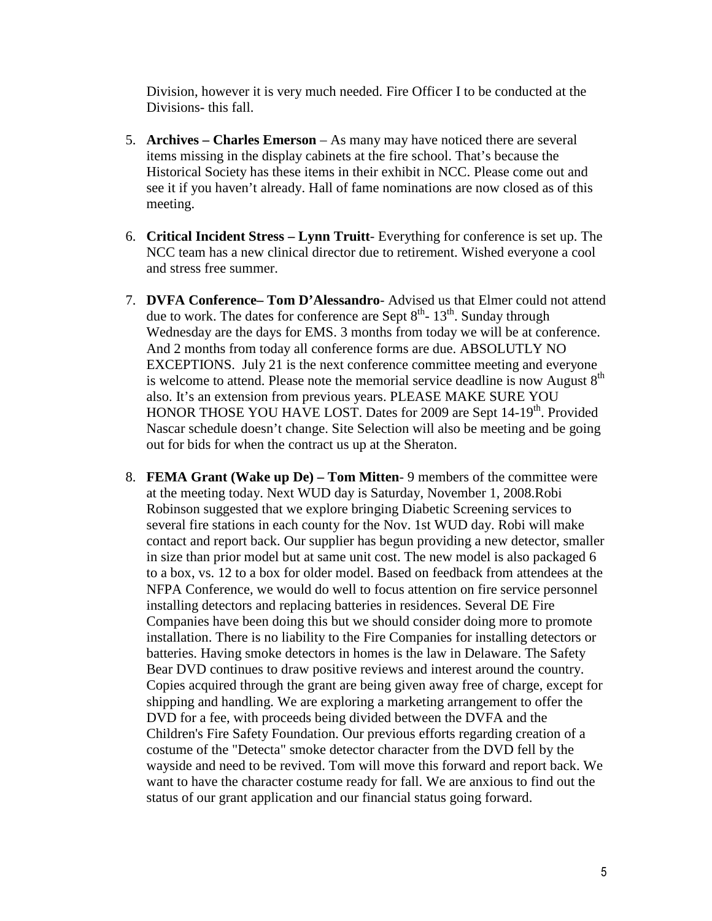Division, however it is very much needed. Fire Officer I to be conducted at the Divisions- this fall.

- 5. **Archives Charles Emerson** As many may have noticed there are several items missing in the display cabinets at the fire school. That's because the Historical Society has these items in their exhibit in NCC. Please come out and see it if you haven't already. Hall of fame nominations are now closed as of this meeting.
- 6. **Critical Incident Stress Lynn Truitt** Everything for conference is set up. The NCC team has a new clinical director due to retirement. Wished everyone a cool and stress free summer.
- 7. **DVFA Conference– Tom D'Alessandro** Advised us that Elmer could not attend due to work. The dates for conference are Sept  $8<sup>th</sup>$ - 13<sup>th</sup>. Sunday through Wednesday are the days for EMS. 3 months from today we will be at conference. And 2 months from today all conference forms are due. ABSOLUTLY NO EXCEPTIONS. July 21 is the next conference committee meeting and everyone is welcome to attend. Please note the memorial service deadline is now August  $8<sup>th</sup>$ also. It's an extension from previous years. PLEASE MAKE SURE YOU HONOR THOSE YOU HAVE LOST. Dates for 2009 are Sept 14-19<sup>th</sup>. Provided Nascar schedule doesn't change. Site Selection will also be meeting and be going out for bids for when the contract us up at the Sheraton.
- 8. **FEMA Grant (Wake up De) Tom Mitten** 9 members of the committee were at the meeting today. Next WUD day is Saturday, November 1, 2008.Robi Robinson suggested that we explore bringing Diabetic Screening services to several fire stations in each county for the Nov. 1st WUD day. Robi will make contact and report back. Our supplier has begun providing a new detector, smaller in size than prior model but at same unit cost. The new model is also packaged 6 to a box, vs. 12 to a box for older model. Based on feedback from attendees at the NFPA Conference, we would do well to focus attention on fire service personnel installing detectors and replacing batteries in residences. Several DE Fire Companies have been doing this but we should consider doing more to promote installation. There is no liability to the Fire Companies for installing detectors or batteries. Having smoke detectors in homes is the law in Delaware. The Safety Bear DVD continues to draw positive reviews and interest around the country. Copies acquired through the grant are being given away free of charge, except for shipping and handling. We are exploring a marketing arrangement to offer the DVD for a fee, with proceeds being divided between the DVFA and the Children's Fire Safety Foundation. Our previous efforts regarding creation of a costume of the "Detecta" smoke detector character from the DVD fell by the wayside and need to be revived. Tom will move this forward and report back. We want to have the character costume ready for fall. We are anxious to find out the status of our grant application and our financial status going forward.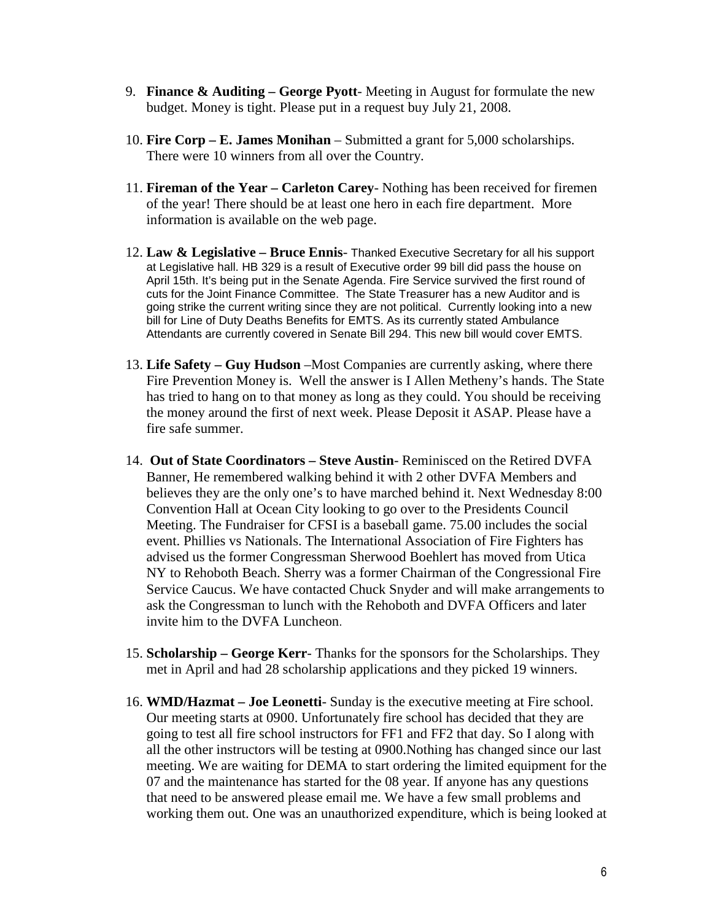- 9. **Finance & Auditing George Pyott** Meeting in August for formulate the new budget. Money is tight. Please put in a request buy July 21, 2008.
- 10. **Fire Corp E. James Monihan** Submitted a grant for 5,000 scholarships. There were 10 winners from all over the Country.
- 11. **Fireman of the Year Carleton Carey** Nothing has been received for firemen of the year! There should be at least one hero in each fire department. More information is available on the web page.
- 12. **Law & Legislative Bruce Ennis** Thanked Executive Secretary for all his support at Legislative hall. HB 329 is a result of Executive order 99 bill did pass the house on April 15th. It's being put in the Senate Agenda. Fire Service survived the first round of cuts for the Joint Finance Committee. The State Treasurer has a new Auditor and is going strike the current writing since they are not political. Currently looking into a new bill for Line of Duty Deaths Benefits for EMTS. As its currently stated Ambulance Attendants are currently covered in Senate Bill 294. This new bill would cover EMTS.
- 13. **Life Safety Guy Hudson** –Most Companies are currently asking, where there Fire Prevention Money is. Well the answer is I Allen Metheny's hands. The State has tried to hang on to that money as long as they could. You should be receiving the money around the first of next week. Please Deposit it ASAP. Please have a fire safe summer.
- 14. **Out of State Coordinators Steve Austin** Reminisced on the Retired DVFA Banner, He remembered walking behind it with 2 other DVFA Members and believes they are the only one's to have marched behind it. Next Wednesday 8:00 Convention Hall at Ocean City looking to go over to the Presidents Council Meeting. The Fundraiser for CFSI is a baseball game. 75.00 includes the social event. Phillies vs Nationals. The International Association of Fire Fighters has advised us the former Congressman Sherwood Boehlert has moved from Utica NY to Rehoboth Beach. Sherry was a former Chairman of the Congressional Fire Service Caucus. We have contacted Chuck Snyder and will make arrangements to ask the Congressman to lunch with the Rehoboth and DVFA Officers and later invite him to the DVFA Luncheon.
- 15. **Scholarship George Kerr** Thanks for the sponsors for the Scholarships. They met in April and had 28 scholarship applications and they picked 19 winners.
- 16. **WMD/Hazmat Joe Leonetti** Sunday is the executive meeting at Fire school. Our meeting starts at 0900. Unfortunately fire school has decided that they are going to test all fire school instructors for FF1 and FF2 that day. So I along with all the other instructors will be testing at 0900.Nothing has changed since our last meeting. We are waiting for DEMA to start ordering the limited equipment for the 07 and the maintenance has started for the 08 year. If anyone has any questions that need to be answered please email me. We have a few small problems and working them out. One was an unauthorized expenditure, which is being looked at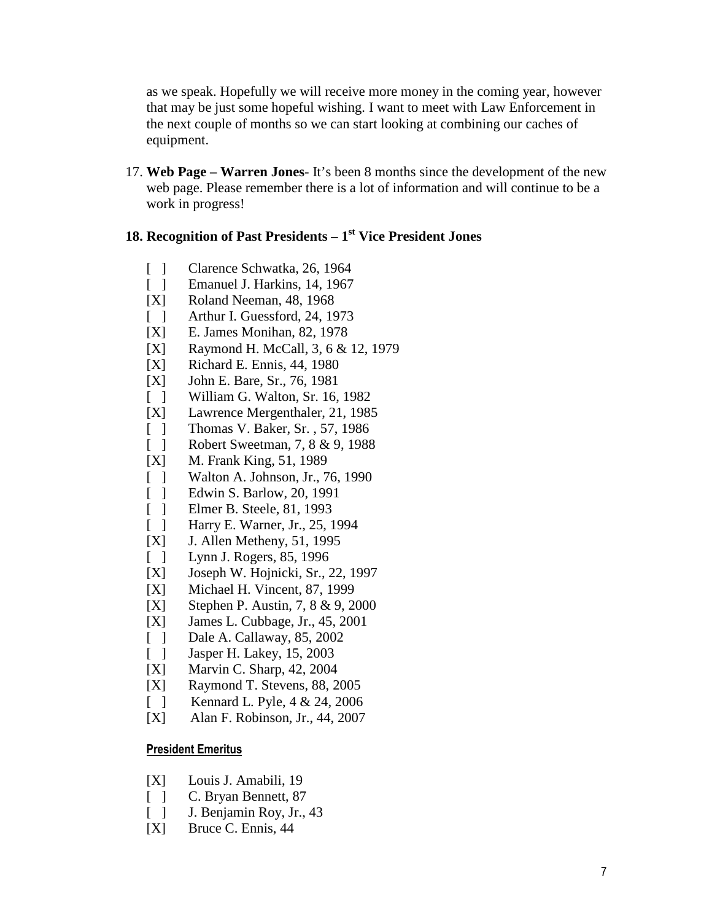as we speak. Hopefully we will receive more money in the coming year, however that may be just some hopeful wishing. I want to meet with Law Enforcement in the next couple of months so we can start looking at combining our caches of equipment.

17. **Web Page – Warren Jones**- It's been 8 months since the development of the new web page. Please remember there is a lot of information and will continue to be a work in progress!

## **18. Recognition of Past Presidents – 1st Vice President Jones**

- [ ] Clarence Schwatka, 26, 1964
- [ ] Emanuel J. Harkins, 14, 1967
- [X] Roland Neeman, 48, 1968
- [ ] Arthur I. Guessford, 24, 1973
- [X] E. James Monihan, 82, 1978
- [X] Raymond H. McCall, 3, 6 & 12, 1979
- [X] Richard E. Ennis, 44, 1980
- [X] John E. Bare, Sr., 76, 1981
- [ ] William G. Walton, Sr. 16, 1982
- [X] Lawrence Mergenthaler, 21, 1985
- [ ] Thomas V. Baker, Sr., 57, 1986
- [ ] Robert Sweetman, 7, 8 & 9, 1988
- [X] M. Frank King, 51, 1989
- [ ] Walton A. Johnson, Jr., 76, 1990
- [ ] Edwin S. Barlow, 20, 1991
- [ ] Elmer B. Steele, 81, 1993
- [ ] Harry E. Warner, Jr., 25, 1994
- [X] J. Allen Metheny, 51, 1995
- [ ] Lynn J. Rogers, 85, 1996
- [X] Joseph W. Hojnicki, Sr., 22, 1997
- [X] Michael H. Vincent, 87, 1999
- [X] Stephen P. Austin, 7, 8 & 9, 2000
- [X] James L. Cubbage, Jr., 45, 2001
- [ ] Dale A. Callaway, 85, 2002
- [ ] Jasper H. Lakey, 15, 2003
- [X] Marvin C. Sharp, 42, 2004
- [X] Raymond T. Stevens, 88, 2005
- [ ] Kennard L. Pyle,  $4 & 24, 2006$
- [X] Alan F. Robinson, Jr., 44, 2007

### President Emeritus

- [X] Louis J. Amabili, 19
- [ ] C. Bryan Bennett, 87
- [ ] J. Benjamin Roy, Jr., 43
- [X] Bruce C. Ennis, 44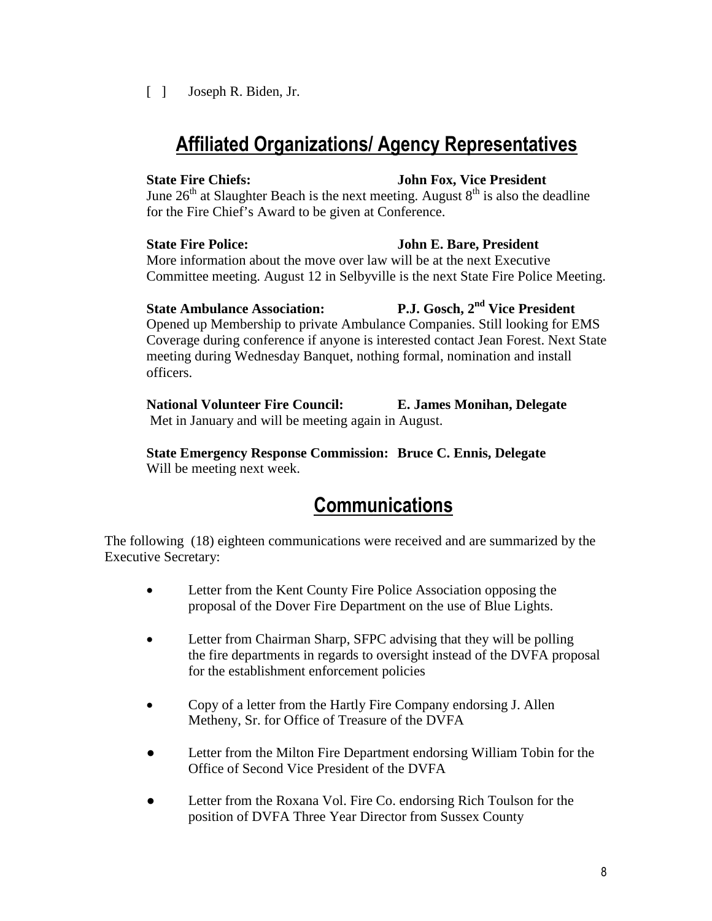### [ ] Joseph R. Biden, Jr.

## Affiliated Organizations/ Agency Representatives

## **State Fire Chiefs: John Fox, Vice President**

June  $26<sup>th</sup>$  at Slaughter Beach is the next meeting. August  $8<sup>th</sup>$  is also the deadline for the Fire Chief's Award to be given at Conference.

## **State Fire Police: John E. Bare, President**

More information about the move over law will be at the next Executive Committee meeting. August 12 in Selbyville is the next State Fire Police Meeting.

Opened up Membership to private Ambulance Companies. Still looking for EMS Coverage during conference if anyone is interested contact Jean Forest. Next State meeting during Wednesday Banquet, nothing formal, nomination and install officers.

**National Volunteer Fire Council: E. James Monihan, Delegate**  Met in January and will be meeting again in August.

**State Emergency Response Commission: Bruce C. Ennis, Delegate**  Will be meeting next week.

# **Communications**

The following (18) eighteen communications were received and are summarized by the Executive Secretary:

- Letter from the Kent County Fire Police Association opposing the proposal of the Dover Fire Department on the use of Blue Lights.
- Letter from Chairman Sharp, SFPC advising that they will be polling the fire departments in regards to oversight instead of the DVFA proposal for the establishment enforcement policies
- Copy of a letter from the Hartly Fire Company endorsing J. Allen Metheny, Sr. for Office of Treasure of the DVFA
- Letter from the Milton Fire Department endorsing William Tobin for the Office of Second Vice President of the DVFA
- Letter from the Roxana Vol. Fire Co. endorsing Rich Toulson for the position of DVFA Three Year Director from Sussex County

## **State Ambulance Association: P.J. Gosch, 2nd Vice President**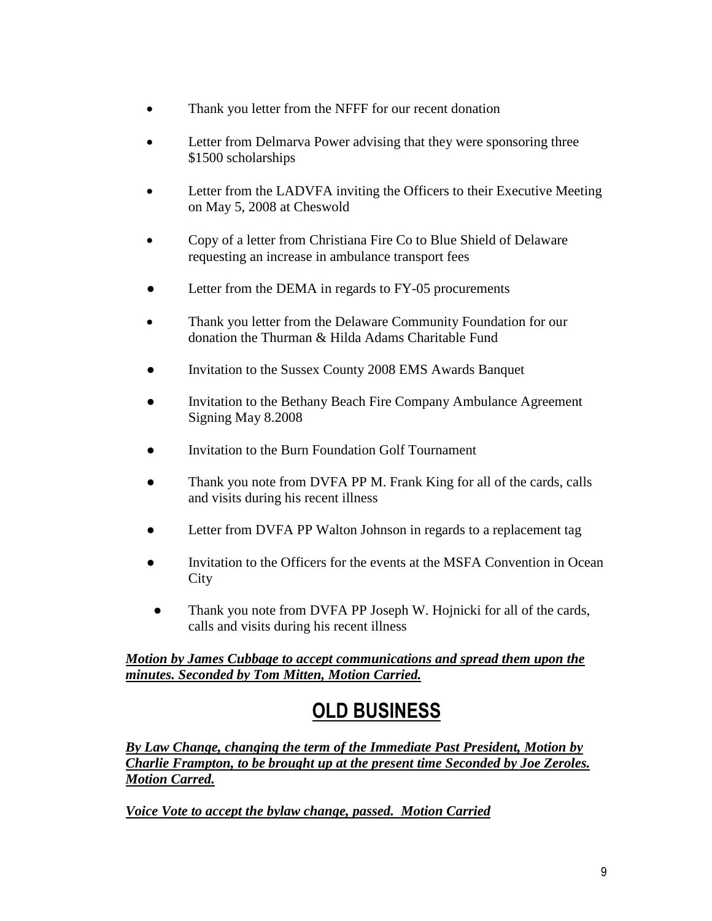- Thank you letter from the NFFF for our recent donation
- Letter from Delmarva Power advising that they were sponsoring three \$1500 scholarships
- Letter from the LADVFA inviting the Officers to their Executive Meeting on May 5, 2008 at Cheswold
- Copy of a letter from Christiana Fire Co to Blue Shield of Delaware requesting an increase in ambulance transport fees
- Letter from the DEMA in regards to FY-05 procurements
- Thank you letter from the Delaware Community Foundation for our donation the Thurman & Hilda Adams Charitable Fund
- Invitation to the Sussex County 2008 EMS Awards Banquet
- Invitation to the Bethany Beach Fire Company Ambulance Agreement Signing May 8.2008
- Invitation to the Burn Foundation Golf Tournament
- Thank you note from DVFA PP M. Frank King for all of the cards, calls and visits during his recent illness
- Letter from DVFA PP Walton Johnson in regards to a replacement tag
- Invitation to the Officers for the events at the MSFA Convention in Ocean **City**
- Thank you note from DVFA PP Joseph W. Hojnicki for all of the cards, calls and visits during his recent illness

*Motion by James Cubbage to accept communications and spread them upon the minutes. Seconded by Tom Mitten, Motion Carried.* 

# OLD BUSINESS

*By Law Change, changing the term of the Immediate Past President, Motion by Charlie Frampton, to be brought up at the present time Seconded by Joe Zeroles. Motion Carred.* 

*Voice Vote to accept the bylaw change, passed. Motion Carried*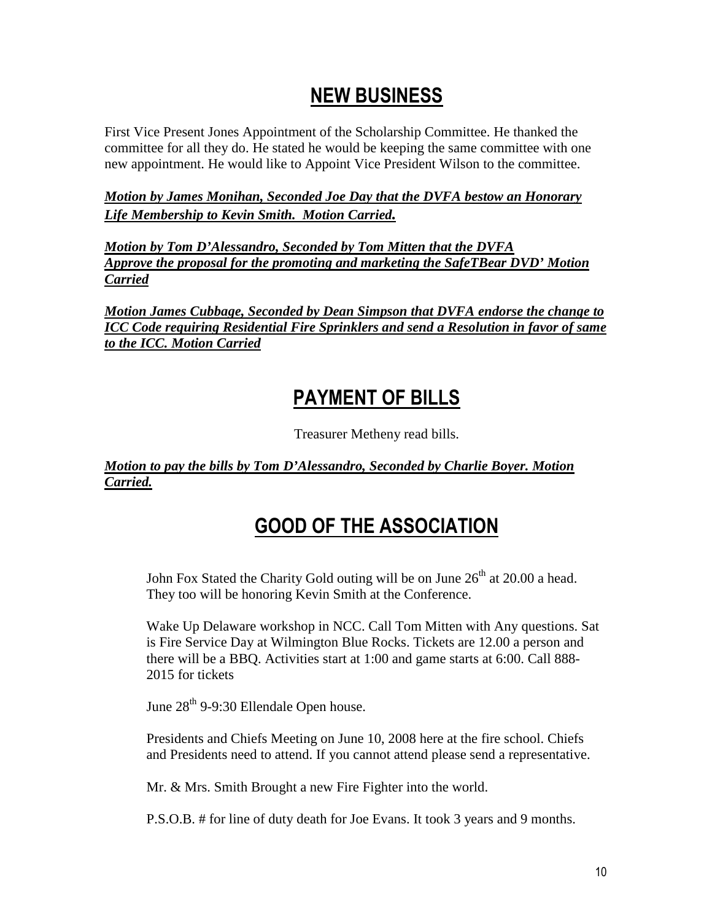## NEW BUSINESS

First Vice Present Jones Appointment of the Scholarship Committee. He thanked the committee for all they do. He stated he would be keeping the same committee with one new appointment. He would like to Appoint Vice President Wilson to the committee.

*Motion by James Monihan, Seconded Joe Day that the DVFA bestow an Honorary Life Membership to Kevin Smith. Motion Carried.*

*Motion by Tom D'Alessandro, Seconded by Tom Mitten that the DVFA Approve the proposal for the promoting and marketing the SafeTBear DVD' Motion Carried*

*Motion James Cubbage, Seconded by Dean Simpson that DVFA endorse the change to ICC Code requiring Residential Fire Sprinklers and send a Resolution in favor of same to the ICC. Motion Carried*

## PAYMENT OF BILLS

Treasurer Metheny read bills.

*Motion to pay the bills by Tom D'Alessandro, Seconded by Charlie Boyer. Motion Carried.*

# GOOD OF THE ASSOCIATION

John Fox Stated the Charity Gold outing will be on June  $26<sup>th</sup>$  at 20.00 a head. They too will be honoring Kevin Smith at the Conference.

Wake Up Delaware workshop in NCC. Call Tom Mitten with Any questions. Sat is Fire Service Day at Wilmington Blue Rocks. Tickets are 12.00 a person and there will be a BBQ. Activities start at 1:00 and game starts at 6:00. Call 888- 2015 for tickets

June  $28<sup>th</sup>$  9-9:30 Ellendale Open house.

Presidents and Chiefs Meeting on June 10, 2008 here at the fire school. Chiefs and Presidents need to attend. If you cannot attend please send a representative.

Mr. & Mrs. Smith Brought a new Fire Fighter into the world.

P.S.O.B. # for line of duty death for Joe Evans. It took 3 years and 9 months.